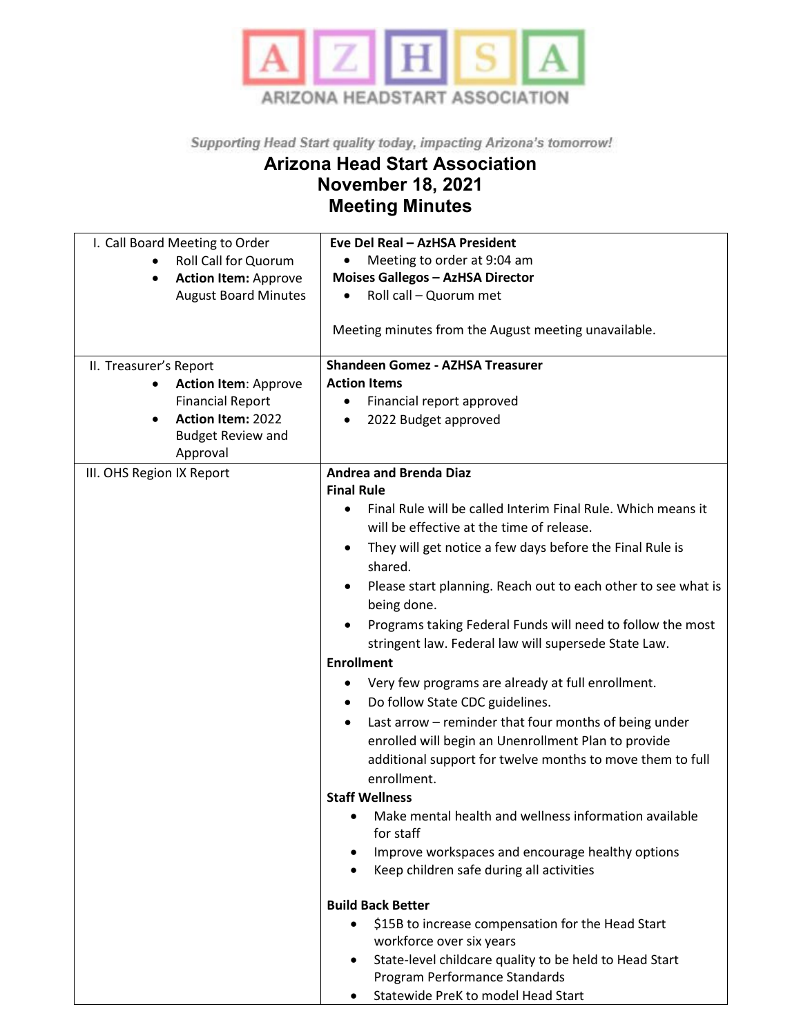

Supporting Head Start quality today, impacting Arizona's tomorrow!

## **Arizona Head Start Association November 18, 2021 Meeting Minutes**

| I. Call Board Meeting to Order        | Eve Del Real - AzHSA President                                             |
|---------------------------------------|----------------------------------------------------------------------------|
| <b>Roll Call for Quorum</b>           | Meeting to order at 9:04 am                                                |
| <b>Action Item: Approve</b>           | <b>Moises Gallegos - AzHSA Director</b>                                    |
| <b>August Board Minutes</b>           | Roll call - Quorum met                                                     |
|                                       |                                                                            |
|                                       | Meeting minutes from the August meeting unavailable.                       |
| II. Treasurer's Report                | <b>Shandeen Gomez - AZHSA Treasurer</b>                                    |
| <b>Action Item: Approve</b>           | <b>Action Items</b>                                                        |
| <b>Financial Report</b>               | Financial report approved                                                  |
| <b>Action Item: 2022</b><br>$\bullet$ | 2022 Budget approved                                                       |
| <b>Budget Review and</b>              |                                                                            |
| Approval                              |                                                                            |
| III. OHS Region IX Report             | <b>Andrea and Brenda Diaz</b>                                              |
|                                       | <b>Final Rule</b>                                                          |
|                                       | Final Rule will be called Interim Final Rule. Which means it<br>$\bullet$  |
|                                       | will be effective at the time of release.                                  |
|                                       |                                                                            |
|                                       | They will get notice a few days before the Final Rule is                   |
|                                       | shared.                                                                    |
|                                       | Please start planning. Reach out to each other to see what is<br>$\bullet$ |
|                                       | being done.                                                                |
|                                       | Programs taking Federal Funds will need to follow the most                 |
|                                       | stringent law. Federal law will supersede State Law.                       |
|                                       | <b>Enrollment</b>                                                          |
|                                       |                                                                            |
|                                       | Very few programs are already at full enrollment.                          |
|                                       | Do follow State CDC guidelines.<br>$\bullet$                               |
|                                       | Last arrow - reminder that four months of being under                      |
|                                       | enrolled will begin an Unenrollment Plan to provide                        |
|                                       | additional support for twelve months to move them to full                  |
|                                       | enrollment.                                                                |
|                                       | <b>Staff Wellness</b>                                                      |
|                                       | Make mental health and wellness information available                      |
|                                       | for staff                                                                  |
|                                       |                                                                            |
|                                       | Improve workspaces and encourage healthy options                           |
|                                       | Keep children safe during all activities                                   |
|                                       | <b>Build Back Better</b>                                                   |
|                                       | \$15B to increase compensation for the Head Start                          |
|                                       | workforce over six years                                                   |
|                                       | State-level childcare quality to be held to Head Start                     |
|                                       | Program Performance Standards                                              |
|                                       | Statewide PreK to model Head Start                                         |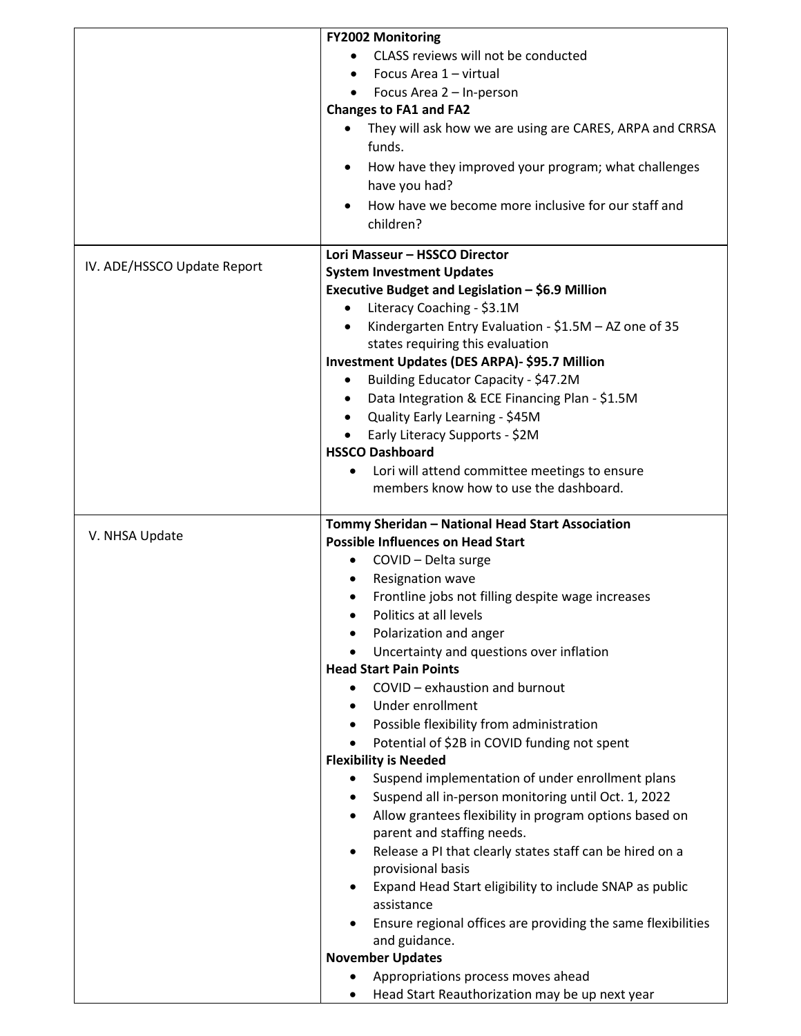|                               | <b>FY2002 Monitoring</b>                                                  |
|-------------------------------|---------------------------------------------------------------------------|
|                               | CLASS reviews will not be conducted                                       |
|                               | Focus Area 1 - virtual                                                    |
|                               | Focus Area 2 - In-person                                                  |
|                               | <b>Changes to FA1 and FA2</b>                                             |
|                               | They will ask how we are using are CARES, ARPA and CRRSA                  |
|                               |                                                                           |
|                               | funds.                                                                    |
|                               | How have they improved your program; what challenges                      |
|                               | have you had?                                                             |
|                               | How have we become more inclusive for our staff and                       |
|                               | children?                                                                 |
| Lori Masseur - HSSCO Director |                                                                           |
| IV. ADE/HSSCO Update Report   | <b>System Investment Updates</b>                                          |
|                               | Executive Budget and Legislation - \$6.9 Million                          |
|                               | Literacy Coaching - \$3.1M                                                |
|                               | Kindergarten Entry Evaluation - \$1.5M - AZ one of 35<br>$\bullet$        |
|                               | states requiring this evaluation                                          |
|                               | Investment Updates (DES ARPA)- \$95.7 Million                             |
|                               | Building Educator Capacity - \$47.2M<br>$\bullet$                         |
|                               | Data Integration & ECE Financing Plan - \$1.5M<br>$\bullet$               |
|                               | • Quality Early Learning - \$45M                                          |
|                               |                                                                           |
|                               | Early Literacy Supports - \$2M<br>$\bullet$                               |
|                               | <b>HSSCO Dashboard</b>                                                    |
|                               | Lori will attend committee meetings to ensure                             |
|                               | members know how to use the dashboard.                                    |
|                               | Tommy Sheridan - National Head Start Association                          |
| V. NHSA Update                | <b>Possible Influences on Head Start</b>                                  |
|                               | COVID - Delta surge<br>٠                                                  |
|                               | Resignation wave                                                          |
|                               | Frontline jobs not filling despite wage increases                         |
|                               | Politics at all levels                                                    |
|                               | Polarization and anger                                                    |
|                               |                                                                           |
|                               | Uncertainty and questions over inflation<br><b>Head Start Pain Points</b> |
|                               |                                                                           |
|                               | COVID - exhaustion and burnout<br>$\bullet$                               |
|                               | Under enrollment<br>$\bullet$                                             |
|                               | Possible flexibility from administration<br>$\bullet$                     |
|                               | Potential of \$2B in COVID funding not spent                              |
|                               | <b>Flexibility is Needed</b>                                              |
|                               | Suspend implementation of under enrollment plans                          |
|                               | Suspend all in-person monitoring until Oct. 1, 2022<br>$\bullet$          |
|                               | Allow grantees flexibility in program options based on<br>$\bullet$       |
|                               | parent and staffing needs.                                                |
|                               | Release a PI that clearly states staff can be hired on a<br>$\bullet$     |
|                               | provisional basis                                                         |
|                               | Expand Head Start eligibility to include SNAP as public                   |
|                               | assistance                                                                |
|                               | Ensure regional offices are providing the same flexibilities              |
|                               | and guidance.                                                             |
|                               | <b>November Updates</b>                                                   |
|                               | Appropriations process moves ahead                                        |
|                               | Head Start Reauthorization may be up next year                            |